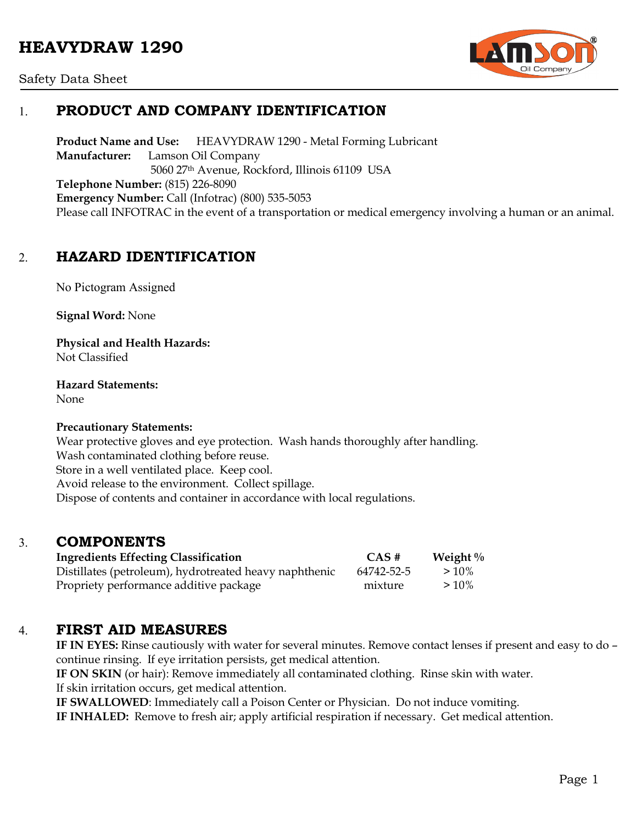# **HEAVYDRAW 1290**



### Safety Data Sheet

## 1. **PRODUCT AND COMPANY IDENTIFICATION**

**Product Name and Use:** HEAVYDRAW 1290 - Metal Forming Lubricant **Manufacturer:** Lamson Oil Company 5060 27th Avenue, Rockford, Illinois 61109 USA **Telephone Number:** (815) 226-8090 **Emergency Number:** Call (Infotrac) (800) 535-5053 Please call INFOTRAC in the event of a transportation or medical emergency involving a human or an animal.

## 2. **HAZARD IDENTIFICATION**

No Pictogram Assigned

**Signal Word:** None

**Physical and Health Hazards:** Not Classified

**Hazard Statements:**  None

### **Precautionary Statements:**

Wear protective gloves and eye protection. Wash hands thoroughly after handling. Wash contaminated clothing before reuse. Store in a well ventilated place. Keep cool. Avoid release to the environment. Collect spillage. Dispose of contents and container in accordance with local regulations.

### 3. **COMPONENTS**

| <b>Ingredients Effecting Classification</b>            | $CAS \#$   | Weight $\%$ |
|--------------------------------------------------------|------------|-------------|
| Distillates (petroleum), hydrotreated heavy naphthenic | 64742-52-5 | $>10\%$     |
| Propriety performance additive package                 | mixture    | $>10\%$     |

### 4. **FIRST AID MEASURES**

**IF IN EYES:** Rinse cautiously with water for several minutes. Remove contact lenses if present and easy to do – continue rinsing. If eye irritation persists, get medical attention.

**IF ON SKIN** (or hair): Remove immediately all contaminated clothing. Rinse skin with water.

If skin irritation occurs, get medical attention.

**IF SWALLOWED**: Immediately call a Poison Center or Physician. Do not induce vomiting.

**IF INHALED:** Remove to fresh air; apply artificial respiration if necessary. Get medical attention.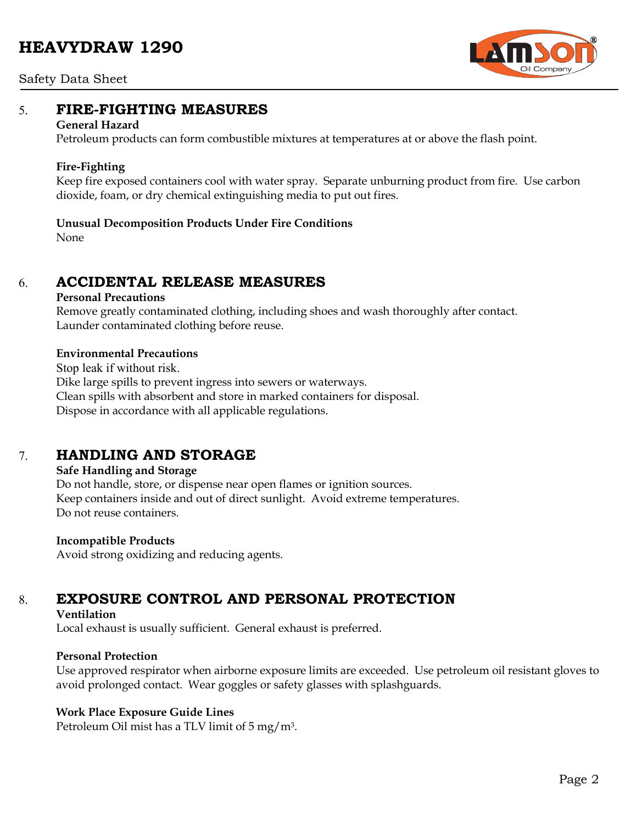# **HEAVYDRAW 1290**



### Safety Data Sheet

### 5. **FIRE-FIGHTING MEASURES**

#### **General Hazard**

Petroleum products can form combustible mixtures at temperatures at or above the flash point.

### **Fire-Fighting**

Keep fire exposed containers cool with water spray. Separate unburning product from fire. Use carbon dioxide, foam, or dry chemical extinguishing media to put out fires.

### **Unusual Decomposition Products Under Fire Conditions**

None

### 6. **ACCIDENTAL RELEASE MEASURES**

### **Personal Precautions**

Remove greatly contaminated clothing, including shoes and wash thoroughly after contact. Launder contaminated clothing before reuse.

### **Environmental Precautions**

Stop leak if without risk. Dike large spills to prevent ingress into sewers or waterways. Clean spills with absorbent and store in marked containers for disposal. Dispose in accordance with all applicable regulations.

## 7. **HANDLING AND STORAGE**

### **Safe Handling and Storage**

Do not handle, store, or dispense near open flames or ignition sources. Keep containers inside and out of direct sunlight. Avoid extreme temperatures. Do not reuse containers.

### **Incompatible Products**

Avoid strong oxidizing and reducing agents.

# 8. **EXPOSURE CONTROL AND PERSONAL PROTECTION**

### **Ventilation**

Local exhaust is usually sufficient. General exhaust is preferred.

### **Personal Protection**

Use approved respirator when airborne exposure limits are exceeded. Use petroleum oil resistant gloves to avoid prolonged contact. Wear goggles or safety glasses with splashguards.

### **Work Place Exposure Guide Lines**

Petroleum Oil mist has a TLV limit of 5 mg/m3.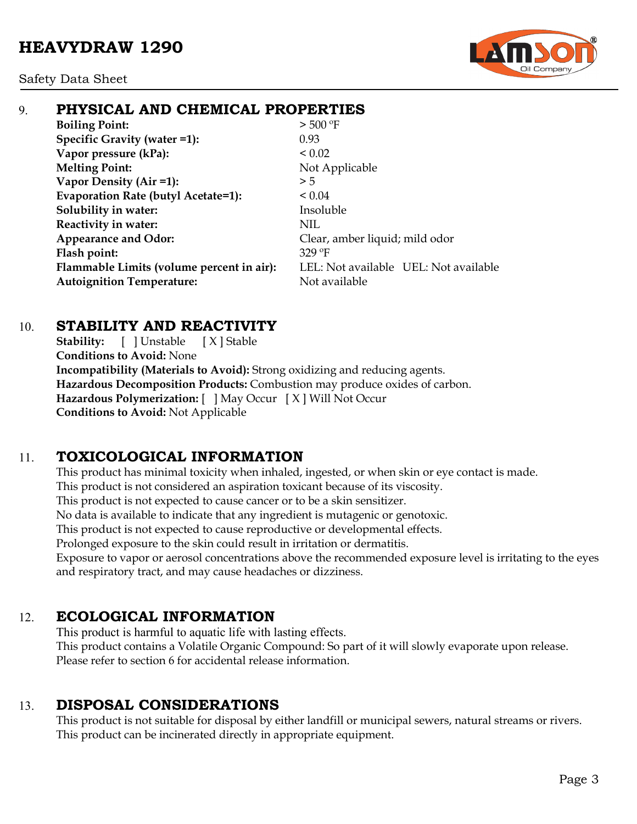Safety Data Sheet



# 9. **PHYSICAL AND CHEMICAL PROPERTIES**

**Boiling Point:**  $> 500 °F$ **Specific Gravity (water =1):** 0.93 **Vapor pressure (kPa):**  $< 0.02$ **Melting Point:** Not Applicable **Vapor Density (Air =1):**  $>5$ **Evaporation Rate (butyl Acetate=1):** < 0.04 **Solubility in water:** Insoluble **Reactivity in water:** NIL Appearance and Odor: Clear, amber liquid; mild odor **Flash point:** 329 ºF **Flammable Limits (volume percent in air):** LEL: Not available UEL: Not available **Autoignition Temperature:** Not available

# 10. **STABILITY AND REACTIVITY**

**Stability:** [ ] Unstable [ X ] Stable **Conditions to Avoid:** None **Incompatibility (Materials to Avoid):** Strong oxidizing and reducing agents. **Hazardous Decomposition Products:** Combustion may produce oxides of carbon. **Hazardous Polymerization:** [ ] May Occur [ X ] Will Not Occur **Conditions to Avoid:** Not Applicable

# 11. **TOXICOLOGICAL INFORMATION**

This product has minimal toxicity when inhaled, ingested, or when skin or eye contact is made. This product is not considered an aspiration toxicant because of its viscosity. This product is not expected to cause cancer or to be a skin sensitizer. No data is available to indicate that any ingredient is mutagenic or genotoxic. This product is not expected to cause reproductive or developmental effects. Prolonged exposure to the skin could result in irritation or dermatitis. Exposure to vapor or aerosol concentrations above the recommended exposure level is irritating to the eyes and respiratory tract, and may cause headaches or dizziness.

# 12. **ECOLOGICAL INFORMATION**

This product is harmful to aquatic life with lasting effects. This product contains a Volatile Organic Compound: So part of it will slowly evaporate upon release. Please refer to section 6 for accidental release information.

# 13. **DISPOSAL CONSIDERATIONS**

This product is not suitable for disposal by either landfill or municipal sewers, natural streams or rivers. This product can be incinerated directly in appropriate equipment.